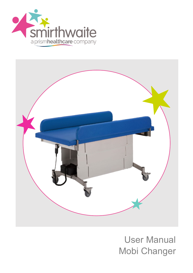



# User Manual Mobi Changer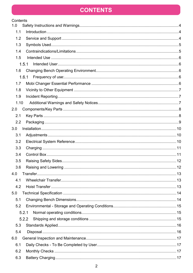### **CONTENTS**

| Contents |  |
|----------|--|
| 1.0      |  |
| 1.1      |  |
| 1.2      |  |
| 1.3      |  |
| 1.4      |  |
| 1.5      |  |
| 1.5.1    |  |
| 1.6      |  |
| 1.6.1    |  |
| 1.7      |  |
| 1.8      |  |
| 1.9      |  |
| 1.10     |  |
| 2.0      |  |
| 2.1      |  |
| 2.2      |  |
| 3.0      |  |
| 3.1      |  |
| 3.2      |  |
| 3.3      |  |
| 3.4      |  |
| 3.5      |  |
| 3.6      |  |
| 4.0      |  |
| 4.1      |  |
| 4.2      |  |
| 5.0      |  |
| 5.1      |  |
| 5.2      |  |
| 5.2.1    |  |
| 5.2.2    |  |
| 5.3      |  |
| 5.4      |  |
| 6.0      |  |
| 6.1      |  |
| 6.2      |  |
| 6.3      |  |
|          |  |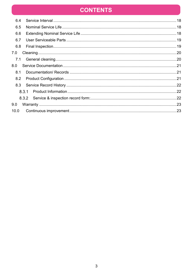### **CONTENTS**

| 6.4  |       |  |
|------|-------|--|
| 6.5  |       |  |
| 6.6  |       |  |
| 6.7  |       |  |
| 6.8  |       |  |
| 7.0  |       |  |
| 7.1  |       |  |
| 8.0  |       |  |
| 8.1  |       |  |
| 8.2  |       |  |
| 8.3  |       |  |
|      | 8.3.1 |  |
|      | 8.3.2 |  |
| 9.0  |       |  |
| 10.0 |       |  |
|      |       |  |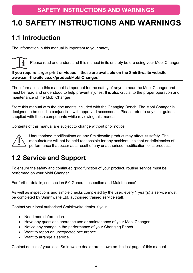# <span id="page-3-0"></span>**1.0 SAFETY INSTRUCTIONS AND WARNINGS**

### <span id="page-3-1"></span>**1.1 Introduction**

The information in this manual is important to your safety.



Please read and understand this manual in its entirety before using your Mobi Changer.

**If you require larger print or videos – these are available on the Smirthwaite website: www.smirthwaite.co.uk/product/**M**obi-Changer/**

The information in this manual is important for the safety of anyone near the Mobi Changer and must be read and understood to help prevent injuries. It is also crucial to the proper operation and maintenance of the Mobi Changer.

Store this manual with the documents included with the Changing Bench. The Mobi Changer is designed to be used in conjunction with approved accessories. Please refer to any user guides supplied with these components while reviewing this manual.

Contents of this manual are subject to change without prior notice.



Unauthorised modifications on any Smirthwaite product may affect its safety. The manufacturer will not be held responsible for any accident, incident or deficiencies of performance that occur as a result of any unauthorised modification to its products.

### <span id="page-3-2"></span>**1.2 Service and Support**

To ensure the safety and continued good function of your product, routine service must be performed on your Mobi Changer.

For further details, see section [6.0](#page-16-0) [General Inspection and Maintenance'](#page-16-0)

As well as inspections and simple checks completed by the user, every 1 year(s) a service must be completed by Smirthwaite Ltd. authorised trained service staff.

Contact your local authorised Smirthwaite dealer if you:

- Need more information.
- Have any questions about the use or maintenance of your Mobi Changer.
- Notice any change in the performance of your Changing Bench.
- Want to report an unexpected occurrence.
- Want to arrange a service.

Contact details of your local Smirthwaite dealer are shown on the last page of this manual.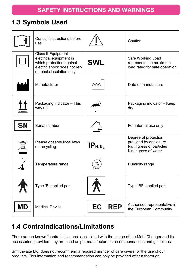### <span id="page-4-0"></span>**1.3 Symbols Used**

|                 | <b>Consult instructions before</b><br>use                                                                                               |                  | Caution                                                                                                                      |  |
|-----------------|-----------------------------------------------------------------------------------------------------------------------------------------|------------------|------------------------------------------------------------------------------------------------------------------------------|--|
|                 | Class II Equipment -<br>electrical equipment in<br>which protection against<br>electric shock does not rely<br>on basic insulation only | <b>SWL</b>       | Safe Working Load<br>represents the maximum<br>load rated for safe operation                                                 |  |
|                 | Manufacturer                                                                                                                            |                  | Date of manufacture                                                                                                          |  |
| <b>THIS WAY</b> | Packaging indicator - This<br>way up                                                                                                    |                  | Packaging indicator - Keep<br>dry                                                                                            |  |
| <b>SN</b>       | Serial number                                                                                                                           |                  | For internal use only                                                                                                        |  |
|                 | Please observe local laws<br>on recycling                                                                                               | $IP_{N_1N_2}$    | Degree of protection<br>provided by enclosure.<br>N <sub>1</sub> : Ingress of particles<br>N <sub>2</sub> : Ingress of water |  |
|                 | Temperature range                                                                                                                       |                  | Humidity range                                                                                                               |  |
|                 | Type 'B' applied part                                                                                                                   |                  | Type 'BF' applied part                                                                                                       |  |
| <b>MD</b>       | <b>Medical Device</b>                                                                                                                   | <b>REP</b><br>EC | Authorised representative in<br>the European Community                                                                       |  |

## <span id="page-4-1"></span>**1.4 Contraindications/Limitations**

There are no known "contraindications" associated with the usage of the Mobi Changer and its accessories, provided they are used as per manufacturer's recommendations and guidelines.

Smirthwaite Ltd. does not recommend a required number of care givers for the use of our products. This information and recommendation can only be provided after a thorough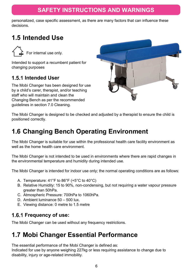### **SAFETY INSTRUCTIONS AND WARNINGS**

personalized, case specific assessment, as there are many factors that can influence these decisions.

### <span id="page-5-0"></span>**1.5 Intended Use**

For internal use only.

Intended to support a recumbent patient for changing purposes

#### <span id="page-5-1"></span>**1.5.1 Intended User**

The Mobi Changer has been designed for use by a child's carer, therapist, and/or teaching staff who will maintain and clean the Changing Bench as per the recommended guidelines in section [7.0](#page-19-0) [Cleaning.](#page-19-0)



The Mobi Changer is designed to be checked and adjusted by a therapist to ensure the child is positioned correctly.

# <span id="page-5-2"></span>**1.6 Changing Bench Operating Environment**

The Mobi Changer is suitable for use within the professional health care facility environment as well as the home health care environment.

The Mobi Changer is not intended to be used in environments where there are rapid changes in the environmental temperature and humidity during intended use.

The Mobi Changer is intended for indoor use only; the normal operating conditions are as follows:

- A. Temperature: 41°F to 86°F (+5°C to 40°C)
- B. Relative Humidity: 15 to 90%, non-condensing, but not requiring a water vapour pressure greater than 50hPa.
- C. Atmospheric Pressure: 700hPa to 1060hPa.
- D. Ambient luminance 50 500 lux.
- <span id="page-5-3"></span>E. Viewing distance: 0 metre to 1.5 metre

#### **Frequency of use:**

<span id="page-5-4"></span>The Mobi Changer can be used without any frequency restrictions.

### **1.7 Mobi Changer Essential Performance**

The essential performance of the Mobi Changer is defined as:

Indicated for use by anyone weighing 227kg or less requiring assistance to change due to disability, injury or age-related immobility.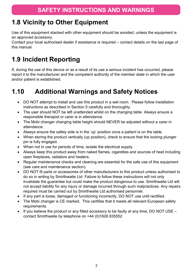### <span id="page-6-0"></span>**1.8 Vicinity to Other Equipment**

Use of this equipment stacked with other equipment should be avoided, unless the equipment is an approved accessory.

Contact your local authorised dealer if assistance is required – contact details on the last page of this manual.

# <span id="page-6-1"></span>**1.9 Incident Reporting**

If, during the use of this device or as a result of its use a serious incident has occurred, please report it to the manufacturer and the competent authority of the member state in which the user and/or patient is established.

# <span id="page-6-2"></span>**1.10 Additional Warnings and Safety Notices**

- DO NOT attempt to install and use this product in a wet room. Please follow installation instructions as described in Section 5 carefully and thoroughly.
- The user should NOT be left unattended whilst on the changing table. Always ensure a responsible therapist or carer is in attendance.
- The Mobi changer changing table height should NEVER be adjusted without a carer in attendance.
- Always ensure the safety side is in the 'up' position once a patient is on the table.
- When storing the product vertically (up position), check to ensure that the locking plunger pin is fully engaged.
- When not in use for periods of time, isolate the electrical supply.
- Always keep this product away from naked flames, cigarettes and sources of heat including open fireplaces, radiators and heaters.
- Regular maintenance checks and cleaning are essential for the safe use of this equipment (see care and maintenance section).
- DO NOT fit parts or accessories of other manufacturers to this product unless authorised to do so in writing by Smirthwaite Ltd. Failure to follow these instructions will not only invalidate the guarantee but could make the product dangerous to use. Smirthwaite Ltd will not accept liability for any injury or damage incurred through such malpractices. Any repairs required must be carried out by Smirthwaite Ltd authorised personnel.
- If any part is loose, damaged or functioning incorrectly, DO NOT use until rectified.
- The Mobi changer is CE marked. This certifies that it meets all relevant European safety requirements.
- If you believe the product or any fitted accessory to be faulty at any time, DO NOT USE contact Smirthwaite by telephone on +44 (0)1626 835552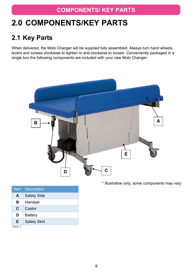### **COMPONENTS/ KEY PARTS**

# <span id="page-7-0"></span>**2.0 COMPONENTS/KEY PARTS**

### <span id="page-7-1"></span>**2.1 Key Parts**

When delivered, the Mobi Changer will be supplied fully assembled. Always turn hand wheels, levers and screws clockwise to tighten or anti-clockwise to loosen. Conveniently packaged in a single box the following components are included with your new Mobi Changer:



\* Illustrative only; some components may vary

|         | <b>Item</b> Description |
|---------|-------------------------|
| A       | <b>Safety Side</b>      |
| В       | Handset                 |
| C       | Castor                  |
| D       | <b>Battery</b>          |
| Е       | <b>Safety Skirt</b>     |
| Table 1 |                         |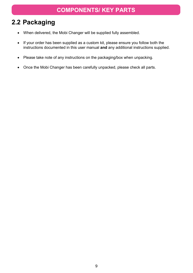#### **COMPONENTS/ KEY PARTS**

### <span id="page-8-0"></span>**2.2 Packaging**

- When delivered, the Mobi Changer will be supplied fully assembled.
- If your order has been supplied as a custom kit, please ensure you follow both the instructions documented in this user manual **and** any additional instructions supplied.
- Please take note of any instructions on the packaging/box when unpacking.
- Once the Mobi Changer has been carefully unpacked, please check all parts.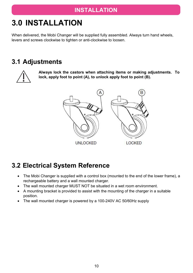# <span id="page-9-0"></span>**3.0 INSTALLATION**

When delivered, the Mobi Changer will be supplied fully assembled. Always turn hand wheels, levers and screws clockwise to tighten or anti-clockwise to loosen.

### <span id="page-9-1"></span>**3.1 Adjustments**



**Always lock the castors when attaching items or making adjustments. To lock, apply foot to point (A), to unlock apply foot to point (B).**



### <span id="page-9-2"></span>**3.2 Electrical System Reference**

- The Mobi Changer is supplied with a control box (mounted to the end of the lower frame), a rechargeable battery and a wall mounted charger.
- The wall mounted charger MUST NOT be situated in a wet room environment.
- A mounting bracket is provided to assist with the mounting of the charger in a suitable position.
- The wall mounted charger is powered by a 100-240V AC 50/60Hz supply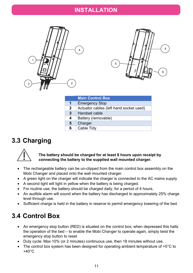#### **INSTALLATION**





|              | <b>Main Control Box</b>                 |
|--------------|-----------------------------------------|
| 1            | <b>Emergency Stop</b>                   |
| $\mathbf{2}$ | Actuator cables (left hand socket used) |
| 3            | Handset cable                           |
| 4            | Battery (removable)                     |
| 5            | Charger                                 |
| 6            | Cable Tidy                              |
|              |                                         |

### <span id="page-10-0"></span>**3.3 Charging**



#### **The battery should be charged for at least 8 hours upon receipt by connecting the battery to the supplied wall mounted charger.**

- The rechargeable battery can be un-clipped from the main control box assembly on the Mobi Changer and placed onto the wall mounted charger.
- A green light on the charger will indicate the charger is connected to the AC mains supply
- A second light will light in yellow when the battery is being charged.
- For routine use, the battery should be charged daily, for a period of 4 hours.
- An audible alarm will sound when the battery has discharged to approximately 25% charge level through use.
- <span id="page-10-1"></span>• Sufficient charge is held in the battery in reserve to permit emergency lowering of the bed.

### **3.4 Control Box**

- An emergency stop button (RED) is situated on the control box; when depressed this halts the operation of the bed – to enable the Mobi Changer to operate again, simply twist the emergency stop button to reset
- Duty cycle: Max 10% (or 2 minutes) continuous use, then 18 minutes without use.
- The control box system has been designed for operating ambient temperature of +5<sup>o</sup>C to  $+40^{\circ}$ C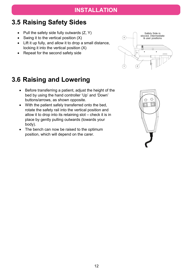### <span id="page-11-0"></span>**3.5 Raising Safety Sides**

- Pull the safety side fully outwards  $(Z, Y)$
- Swing it to the vertical position (X)
- Lift it up fully, and allow it to drop a small distance, locking it into the vertical position (X)
- Repeat for the second safety side



### <span id="page-11-1"></span>**3.6 Raising and Lowering**

- Before transferring a patient, adjust the height of the bed by using the hand controller 'Up' and 'Down' buttons/arrows, as shown opposite.
- With the patient safely transferred onto the bed, rotate the safety rail into the vertical position and allow it to drop into its retaining slot – check it is in place by gently pulling outwards (towards your body).
- The bench can now be raised to the optimum position, which will depend on the carer.

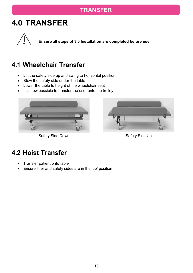### **TRANSFER**

# <span id="page-12-0"></span>**4.0 TRANSFER**



**Ensure all steps of [3.0](#page-9-0) [Installation](#page-9-0) are completed before use.**

### <span id="page-12-1"></span>**4.1 Wheelchair Transfer**

- Lift the safety side up and swing to horizontal position
- Stow the safety side under the table
- Lower the table to height of the wheelchair seat
- It is now possible to transfer the user onto the trolley



Safety Side Down Safety Side Up



### <span id="page-12-2"></span>**4.2 Hoist Transfer**

- Transfer patient onto table
- Ensure liner and safety sides are in the 'up' position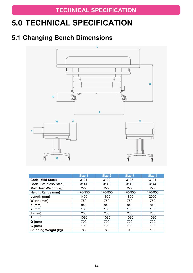# <span id="page-13-0"></span>**5.0 TECHNICAL SPECIFICATION**

### <span id="page-13-1"></span>**5.1 Changing Bench Dimensions**



<span id="page-13-2"></span>

|                               | Size 1  | Size 2  | Size 3  | Size 4  |
|-------------------------------|---------|---------|---------|---------|
| Code (Mild Steel)             | 3121    | 3122    | 3123    | 3124    |
| <b>Code (Stainless Steel)</b> | 3141    | 3142    | 3143    | 3144    |
| Max User Weight (kg)          | 227     | 227     | 227     | 227     |
| Height Range (mm)             | 470-950 | 470-950 | 470-950 | 470-950 |
| Length (mm)                   | 1400    | 1600    | 1800    | 2000    |
| Width (mm)                    | 750     | 750     | 750     | 750     |
| $X$ (mm)                      | 840     | 840     | 840     | 840     |
| $Y$ (mm)                      | 165     | 165     | 165     | 165     |
| $Z$ (mm)                      | 200     | 200     | 200     | 200     |
| $P$ (mm)                      | 1090    | 1090    | 1090    | 1090    |
| $Q$ (mm)                      | 700     | 700     | 700     | 700     |
| $G$ (mm)                      | 190     | 190     | 190     | 190     |
| <b>Shipping Weight (kg)</b>   | 86      | 88      | 90      | 100     |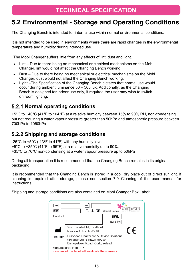### **TECHNICAL SPECIFICATION**

### **5.2 Environmental - Storage and Operating Conditions**

The Changing Bench is intended for internal use within normal environmental conditions.

It is not intended to be used in environments where there are rapid changes in the environmental temperature and humidity during intended use.

The Mobi Changer suffers little from any effects of lint, dust and light.

- Lint Due to there being no mechanical or electrical mechanisms on the Mobi Changer, lint would not affect the Changing Bench working.
- Dust Due to there being no mechanical or electrical mechanisms on the Mobi Changer, dust would not affect the Changing Bench working.
- Light –The Specification of the Changing Bench dictates that normal use would occur during ambient luminance 50 – 500 lux. Additionally, as the Changing Bench is designed for indoor use only, if required the user may wish to switch on room lighting.

#### <span id="page-14-0"></span>**5.2.1 Normal operating conditions**

+5°C to +40°C (41°F to 104°F) at a relative humidity between 15% to 90% RH, non-condensing but not requiring a water vapour pressure greater than 50hPa and atmospheric pressure between 700hPa to 1060hPa

#### <span id="page-14-1"></span>**5.2.2 Shipping and storage conditions**

-25°C to +5°C (-13ºF to 41ºF) with any humidity level

+5°C to +35°C (41°F to 95°F) at a relative humidity up to 90%,

+35°C to 70°C non-condensing at a water vapour pressure up to 50hPa

During all transportation it is recommended that the Changing Bench remains in its original packaging.

It is recommended that the Changing Bench is stored in a cool, dry place out of direct sunlight. If cleaning is required after storage, please see section [7.0](#page-19-0) [Cleaning](#page-19-0) of the user manual for **instructions** 

Shipping and storage conditions are also contained on Mobi Changer Box Label:

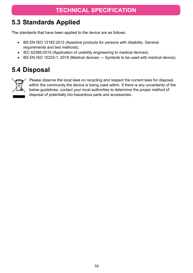### **TECHNICAL SPECIFICATION**

### <span id="page-15-0"></span>**5.3 Standards Applied**

The standards that have been applied to the device are as follows:

- BS EN ISO 12182:2012 (Assistive products for persons with disability. General requirements and test methods).
- IEC 62366:2015 (Application of usability engineering to medical devices).
- <span id="page-15-1"></span>• BS EN ISO 15233-1 :2016 (Medical devices — Symbols to be used with medical device).

### **5.4 Disposal**



Please observe the local laws on recycling and respect the current laws for disposal within the community the device is being used within. If there is any uncertainty of the below guidelines, contact your local authorities to determine the proper method of disposal of potentially bio-hazardous parts and accessories.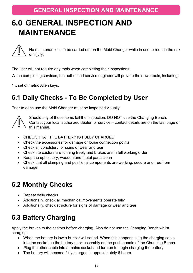# <span id="page-16-0"></span>**6.0 GENERAL INSPECTION AND MAINTENANCE**



No maintenance is to be carried out on the Mobi Changer while in use to reduce the risk of injury.

The user will not require any tools when completing their inspections.

When completing services, the authorised service engineer will provide their own tools, including:

<span id="page-16-1"></span>1 x set of metric Allen keys.

### **6.1 Daily Checks - To Be Completed by User**

Prior to each use the Mobi Changer must be inspected visually.



Should any of these items fail the inspection, DO NOT use the Changing Bench.

Contact your local authorized dealer for service – contact details are on the last page of this manual.

- CHECK THAT THE BATTERY IS FULLY CHARGED
- Check the accessories for damage or loose connection points
- Check all upholstery for signs of wear and tear
- Check the castors are funning freely and brakes are in full working order
- Keep the upholstery, wooden and metal parts clean
- Check that all clamping and positional components are working, secure and free from damage

### <span id="page-16-2"></span>**6.2 Monthly Checks**

- Repeat daily checks
- Additionally, check all mechanical movements operate fully
- Additionally, check structure for signs of damage or wear and tear

# <span id="page-16-3"></span>**6.3 Battery Charging**

Apply the brakes to the castors before charging. Also do not use the Changing Bench whilst charging.

- When the battery is low a buzzer will sound. When this happens plug the charging cable into the socket on the battery pack assembly on the push handle of the Changing Bench.
- Plug the other cable into a mains socket and turn on to begin charging the battery.
- The battery will become fully charged in approximately 6 hours.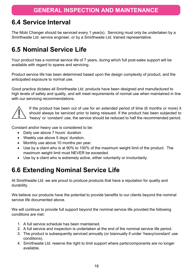### <span id="page-17-0"></span>**6.4 Service Interval**

The Mobi Changer should be serviced every 1 year(s). Servicing must only be undertaken by a Smirthwaite Ltd. service engineer, or by a Smirthwaite Ltd. trained representative.

### <span id="page-17-1"></span>**6.5 Nominal Service Life**

Your product has a nominal service life of 7 years, during which full post-sales support will be available with regard to spares and servicing.

Product service life has been determined based upon the design complexity of product, and the anticipated exposure to normal use.

Good practice dictates all Smirthwaite Ltd. products have been designed and manufactured to high levels of safety and quality, and will meet requirements of normal use when maintained in line with our servicing recommendations.



If the product has been out of use for an extended period of time (6 months or more) it should always be serviced prior to being reissued. If the product has been subjected to 'heavy' or 'constant' use, the service should be reduced to half the recommended period.

Constant and/or heavy use is considered to be:

- Daily use above 7 hours' duration.
- Weekly use above 5 days' duration.
- Monthly use above 10 months per year.
- Use by a client who is at 90% to 100% of the maximum weight limit of the product. The maximum weight limit must NEVER be exceeded.
- <span id="page-17-2"></span>• Use by a client who is extremely active, either voluntarily or involuntarily.

### **6.6 Extending Nominal Service Life**

At Smirthwaite Ltd. we are proud to produce products that have a reputation for quality and durability.

We believe our products have the potential to provide benefits to our clients beyond the nominal service life documented above.

We will continue to provide full support beyond the nominal service life provided the following conditions are met:

- 1. A full service schedule has been maintained.
- 2. A full service and inspection is undertaken at the end of the nominal service life period.
- 3. The product is subsequently serviced annually (or biannually if under 'heavy/constant' use conditions).
- 4. Smirthwaite Ltd. reserve the right to limit support where parts/components are no longer available.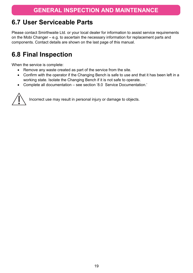### <span id="page-18-0"></span>**6.7 User Serviceable Parts**

Please contact Smirthwaite Ltd. or your local dealer for information to assist service requirements on the Mobi Changer – e.g. to ascertain the necessary information for replacement parts and components. Contact details are shown on the last page of this manual.

### <span id="page-18-1"></span>**6.8 Final Inspection**

When the service is complete:

- Remove any waste created as part of the service from the site.
- Confirm with the operator if the Changing Bench is safe to use and that it has been left in a working state. Isolate the Changing Bench if it is not safe to operate.
- Complete all documentation see section ['8.0](#page-20-3) [Service Documentation.](#page-20-3)'



Incorrect use may result in personal injury or damage to objects.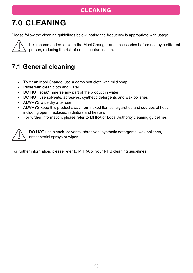### **CLEANING**

# <span id="page-19-0"></span>**7.0 CLEANING**

Please follow the cleaning guidelines below; noting the frequency is appropriate with usage.



It is recommended to clean the Mobi Changer and accessories before use by a different person, reducing the risk of cross–contamination.

# <span id="page-19-1"></span>**7.1 General cleaning**

- To clean Mobi Change, use a damp soft cloth with mild soap
- Rinse with clean cloth and water
- DO NOT soak/immerse any part of the product in water
- DO NOT use solvents, abrasives, synthetic detergents and wax polishes
- ALWAYS wipe dry after use
- ALWAYS keep this product away from naked flames, cigarettes and sources of heat including open fireplaces, radiators and heaters
- For further information, please refer to MHRA or Local Authority cleaning guidelines



DO NOT use bleach, solvents, abrasives, synthetic detergents, wax polishes, antibacterial sprays or wipes.

For further information, please refer to MHRA or your NHS cleaning guidelines.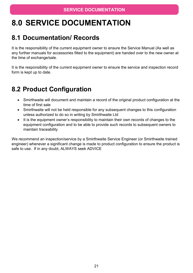# <span id="page-20-3"></span><span id="page-20-0"></span>**8.0 SERVICE DOCUMENTATION**

### <span id="page-20-1"></span>**8.1 Documentation/ Records**

It is the responsibility of the current equipment owner to ensure the Service Manual (As well as any further manuals for accessories fitted to the equipment) are handed over to the new owner at the time of exchange/sale.

It is the responsibility of the current equipment owner to ensure the service and inspection record form is kept up to date.

### <span id="page-20-2"></span>**8.2 Product Configuration**

- Smirthwaite will document and maintain a record of the original product configuration at the time of first sale
- Smirthwaite will not be held responsible for any subsequent changes to this configuration unless authorized to do so in writing by Smirthwaite Ltd
- It is the equipment owner's responsibility to maintain their own records of changes to the equipment configuration and to be able to provide such records to subsequent owners to maintain traceability

We recommend an inspection/service by a Smirthwaite Service Engineer (or Smirthwaite trained engineer) whenever a significant change is made to product configuration to ensure the product is safe to use. If in any doubt, ALWAYS seek ADVICE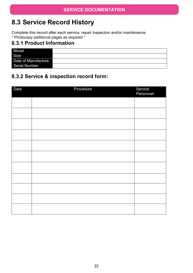### <span id="page-21-0"></span>**8.3 Service Record History**

Complete this record after each service, repair inspection and/or maintenance. \* Photocopy additional pages as required \*

#### <span id="page-21-1"></span>**8.3.1 Product Information**

| Model                |  |
|----------------------|--|
| Size                 |  |
| Date of Manufacture  |  |
| <b>Serial Number</b> |  |

#### <span id="page-21-2"></span>**8.3.2 Service & inspection record form:**

| Date | Procedure | Service<br>Personnel |
|------|-----------|----------------------|
|      |           |                      |
|      |           |                      |
|      |           |                      |
|      |           |                      |
|      |           |                      |
|      |           |                      |
|      |           |                      |
|      |           |                      |
|      |           |                      |
|      |           |                      |
|      |           |                      |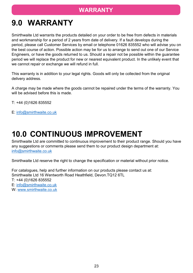### **WARRANTY**

# <span id="page-22-0"></span>**9.0 WARRANTY**

Smirthwaite Ltd warrants the products detailed on your order to be free from defects in materials and workmanship for a period of 2 years from date of delivery. If a fault develops during the period, please call Customer Services by email or telephone 01626 835552 who will advise you on the best course of action. Possible action may be for us to arrange to send out one of our Service Engineers, or have the goods returned to us. Should a repair not be possible within the guarantee period we will replace the product for new or nearest equivalent product. In the unlikely event that we cannot repair or exchange we will refund in full.

This warranty is in addition to your legal rights. Goods will only be collected from the original delivery address.

A charge may be made where the goods cannot be repaired under the terms of the warranty. You will be advised before this is made.

T: +44 (0)1626 835552

E: [info@smirthwaite.co.uk](mailto:info@smirthwaite.co.uk)

# <span id="page-22-1"></span>**10.0 CONTINUOUS IMPROVEMENT**

Smirthwaite Ltd are committed to continuous improvement to their product range. Should you have any suggestions or comments please send them to our product design department at: [info@smirthwaite.co.uk](mailto:info@smirthwaite.co.uk)

Smirthwaite Ltd reserve the right to change the specification or material without prior notice.

For catalogues, help and further information on our products please contact us at: Smirthwaite Ltd 16 Wentworth Road Heathfield, Devon.TQ12 6TL T: +44 (0)1626 835552 E: [info@smirthwaite.co.uk](mailto:info@smirthwaite.co.uk) W: [www.smirthwaite.co.uk](http://www.smirthwaite.co.uk/)